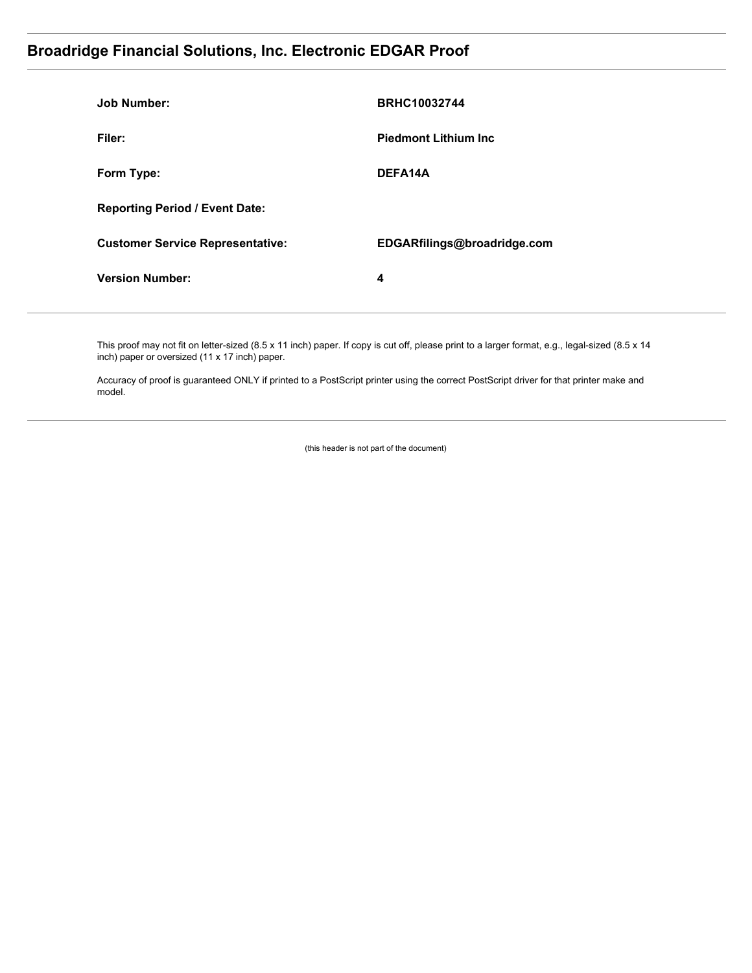### **Broadridge Financial Solutions, Inc. Electronic EDGAR Proof**

| Job Number:                             | <b>BRHC10032744</b>          |
|-----------------------------------------|------------------------------|
| Filer:                                  | <b>Piedmont Lithium Inc.</b> |
| Form Type:                              | DEFA14A                      |
| <b>Reporting Period / Event Date:</b>   |                              |
| <b>Customer Service Representative:</b> | EDGARfilings@broadridge.com  |
| <b>Version Number:</b>                  | 4                            |
|                                         |                              |

This proof may not fit on letter-sized (8.5 x 11 inch) paper. If copy is cut off, please print to a larger format, e.g., legal-sized (8.5 x 14 inch) paper or oversized (11 x 17 inch) paper.

Accuracy of proof is guaranteed ONLY if printed to a PostScript printer using the correct PostScript driver for that printer make and model.

(this header is not part of the document)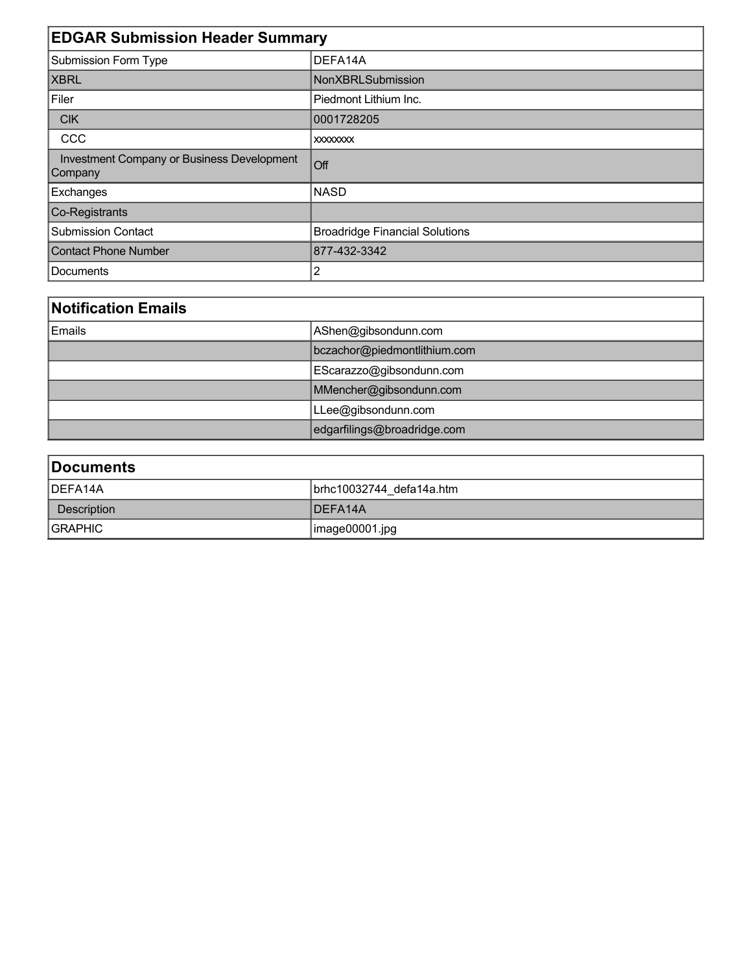| <b>EDGAR Submission Header Summary</b>                |                                       |  |  |
|-------------------------------------------------------|---------------------------------------|--|--|
| <b>Submission Form Type</b>                           | DEFA14A                               |  |  |
| <b>XBRL</b>                                           | <b>NonXBRLSubmission</b>              |  |  |
| Filer                                                 | Piedmont Lithium Inc.                 |  |  |
| <b>CIK</b>                                            | 0001728205                            |  |  |
| CCC                                                   | <b>XXXXXXXXX</b>                      |  |  |
| Investment Company or Business Development<br>Company | Off                                   |  |  |
| Exchanges                                             | <b>NASD</b>                           |  |  |
| Co-Registrants                                        |                                       |  |  |
| <b>Submission Contact</b>                             | <b>Broadridge Financial Solutions</b> |  |  |
| <b>Contact Phone Number</b>                           | 877-432-3342                          |  |  |
| Documents                                             | 2                                     |  |  |

# **Notification Emails**

| ∣Emails | AShen@gibsondunn.com         |  |
|---------|------------------------------|--|
|         | bczachor@piedmontlithium.com |  |
|         | EScarazzo@gibsondunn.com     |  |
|         | MMencher@gibsondunn.com      |  |
|         | LLee@gibsondunn.com          |  |
|         | edgarfilings@broadridge.com  |  |

| Documents      |                          |  |  |  |
|----------------|--------------------------|--|--|--|
| DEFA14A        | brhc10032744 defa14a.htm |  |  |  |
| Description    | <b>IDEFA14A</b>          |  |  |  |
| <b>SRAPHIC</b> | $\vert$ image00001.jpg   |  |  |  |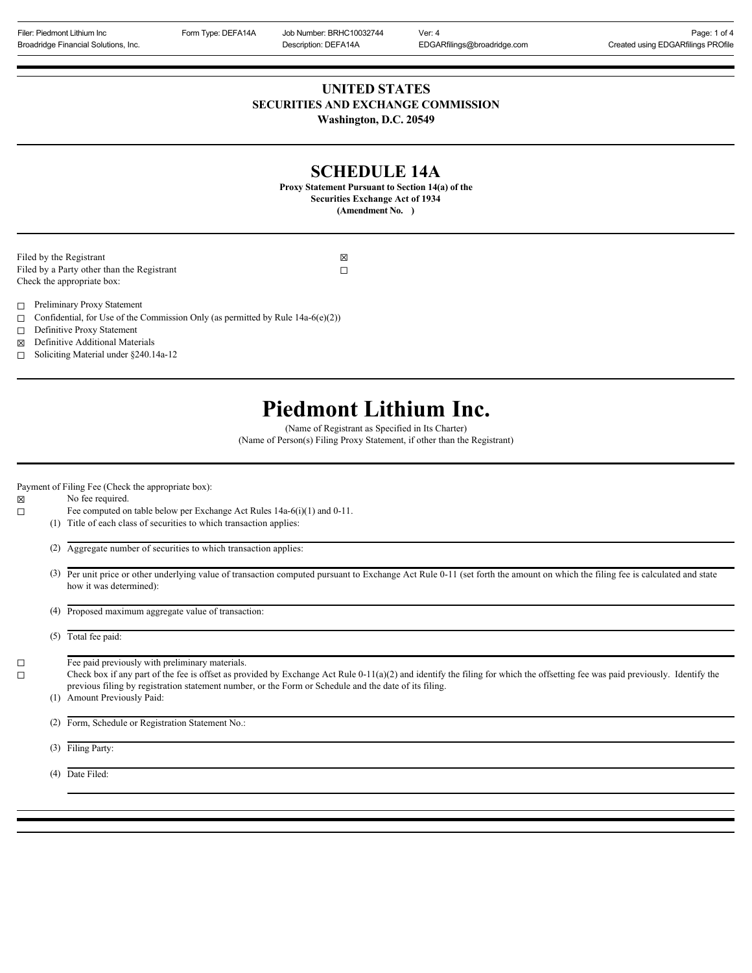Filer: Piedmont Lithium Inc **Form Type: DEFA14A** Job Number: BRHC10032744 Ver: 4 **Page: 1 of 4** Page: 1 of 4 Broadridge Financial Solutions, Inc. **Description: DEFA14A** EDGARfilings@broadridge.com Created using EDGARfilings PROfile **UNITED STATES SECURITIES AND EXCHANGE COMMISSION Washington, D.C. 20549**

### **SCHEDULE 14A**

**Proxy Statement Pursuant to Section 14(a) of the Securities Exchange Act of 1934 (Amendment No. )**

Filed by the Registrant  $\boxtimes$ Filed by a Party other than the Registrant  $\Box$ Check the appropriate box:

- ☐ Preliminary Proxy Statement
- $\Box$  Confidential, for Use of the Commission Only (as permitted by Rule 14a-6(e)(2))
- ☐ Definitive Proxy Statement
- ☒ Definitive Additional Materials
- ☐ Soliciting Material under §240.14a-12

## **Piedmont Lithium Inc.**

(Name of Registrant as Specified in Its Charter) (Name of Person(s) Filing Proxy Statement, if other than the Registrant)

Payment of Filing Fee (Check the appropriate box):

☒ No fee required.

- ☐ Fee computed on table below per Exchange Act Rules 14a-6(i)(1) and 0-11.
	- (1) Title of each class of securities to which transaction applies:

(2) Aggregate number of securities to which transaction applies:

 (3) Per unit price or other underlying value of transaction computed pursuant to Exchange Act Rule 0-11 (set forth the amount on which the filing fee is calculated and state how it was determined):

(4) Proposed maximum aggregate value of transaction:

(5) Total fee paid:

 $\Box$  Fee paid previously with preliminary materials.

□ Check box if any part of the fee is offset as provided by Exchange Act Rule 0-11(a)(2) and identify the filing for which the offsetting fee was paid previously. Identify the previous filing by registration statement number, or the Form or Schedule and the date of its filing.

(1) Amount Previously Paid:

(2) Form, Schedule or Registration Statement No.:

(3) Filing Party:

(4) Date Filed: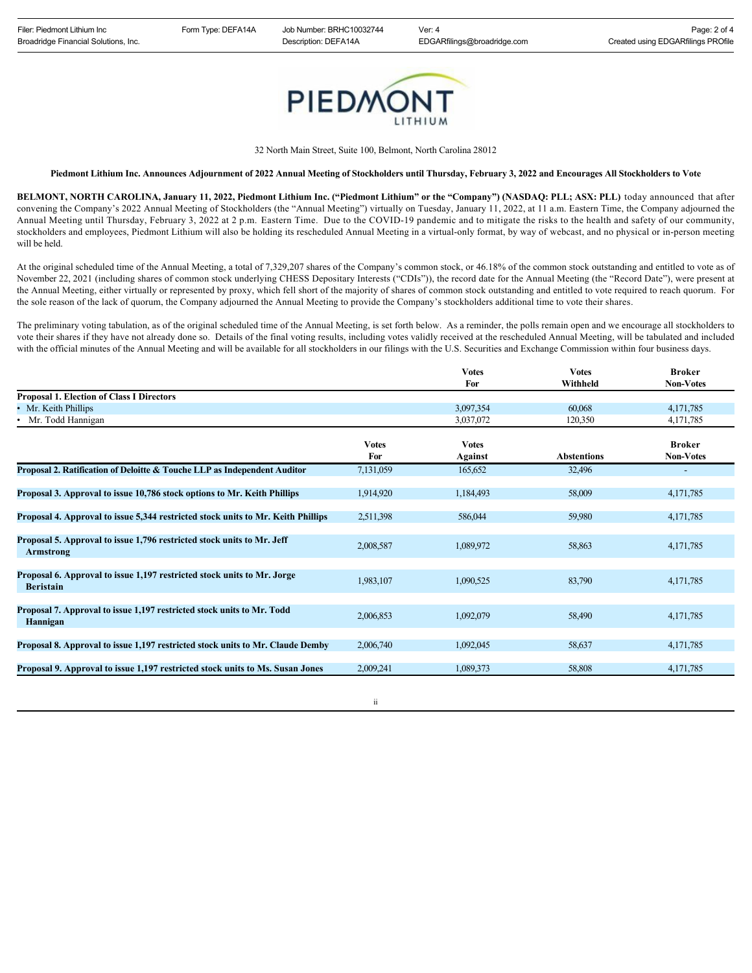

32 North Main Street, Suite 100, Belmont, North Carolina 28012

**Piedmont Lithium Inc. Announces Adjournment of 2022 Annual Meeting of Stockholders until Thursday, February 3, 2022 and Encourages All Stockholders to Vote**

**BELMONT, NORTH CAROLINA, January 11, 2022, Piedmont Lithium Inc. ("Piedmont Lithium" or the "Company") (NASDAQ: PLL; ASX: PLL)** today announced that after convening the Company's 2022 Annual Meeting of Stockholders (the "Annual Meeting") virtually on Tuesday, January 11, 2022, at 11 a.m. Eastern Time, the Company adjourned the Annual Meeting until Thursday, February 3, 2022 at 2 p.m. Eastern Time. Due to the COVID-19 pandemic and to mitigate the risks to the health and safety of our community, stockholders and employees, Piedmont Lithium will also be holding its rescheduled Annual Meeting in a virtual-only format, by way of webcast, and no physical or in-person meeting will be held.

At the original scheduled time of the Annual Meeting, a total of 7,329,207 shares of the Company's common stock, or 46.18% of the common stock outstanding and entitled to vote as of November 22, 2021 (including shares of common stock underlying CHESS Depositary Interests ("CDIs")), the record date for the Annual Meeting (the "Record Date"), were present at the Annual Meeting, either virtually or represented by proxy, which fell short of the majority of shares of common stock outstanding and entitled to vote required to reach quorum. For the sole reason of the lack of quorum, the Company adjourned the Annual Meeting to provide the Company's stockholders additional time to vote their shares.

The preliminary voting tabulation, as of the original scheduled time of the Annual Meeting, is set forth below. As a reminder, the polls remain open and we encourage all stockholders to vote their shares if they have not already done so. Details of the final voting results, including votes validly received at the rescheduled Annual Meeting, will be tabulated and included with the official minutes of the Annual Meeting and will be available for all stockholders in our filings with the U.S. Securities and Exchange Commission within four business days.

|                                                                                             |              | Votes         | <b>Votes</b>       | <b>Broker</b>            |
|---------------------------------------------------------------------------------------------|--------------|---------------|--------------------|--------------------------|
|                                                                                             |              | For           | Withheld           | <b>Non-Votes</b>         |
| <b>Proposal 1. Election of Class I Directors</b>                                            |              |               |                    |                          |
| • Mr. Keith Phillips                                                                        |              | 3,097,354     | 60,068             | 4,171,785                |
| • Mr. Todd Hannigan                                                                         |              | 3,037,072     | 120,350            | 4,171,785                |
|                                                                                             | <b>Votes</b> | <b>V</b> otes |                    | <b>Broker</b>            |
|                                                                                             | For          | Against       | <b>Abstentions</b> | <b>Non-Votes</b>         |
| Proposal 2. Ratification of Deloitte & Touche LLP as Independent Auditor                    | 7,131,059    | 165,652       | 32,496             | $\overline{\phantom{0}}$ |
| Proposal 3. Approval to issue 10,786 stock options to Mr. Keith Phillips                    | 1,914,920    | 1,184,493     | 58,009             | 4,171,785                |
| Proposal 4. Approval to issue 5,344 restricted stock units to Mr. Keith Phillips            | 2,511,398    | 586,044       | 59,980             | 4,171,785                |
| Proposal 5. Approval to issue 1,796 restricted stock units to Mr. Jeff<br><b>Armstrong</b>  | 2,008,587    | 1,089,972     | 58,863             | 4,171,785                |
| Proposal 6. Approval to issue 1,197 restricted stock units to Mr. Jorge<br><b>Beristain</b> | 1,983,107    | 1,090,525     | 83,790             | 4,171,785                |
| Proposal 7. Approval to issue 1,197 restricted stock units to Mr. Todd<br>Hannigan          | 2,006,853    | 1,092,079     | 58,490             | 4,171,785                |
| Proposal 8. Approval to issue 1,197 restricted stock units to Mr. Claude Demby              | 2,006,740    | 1,092,045     | 58,637             | 4,171,785                |
| Proposal 9. Approval to issue 1,197 restricted stock units to Ms. Susan Jones               | 2,009,241    | 1.089.373     | 58,808             | 4,171,785                |
|                                                                                             |              |               |                    |                          |

ii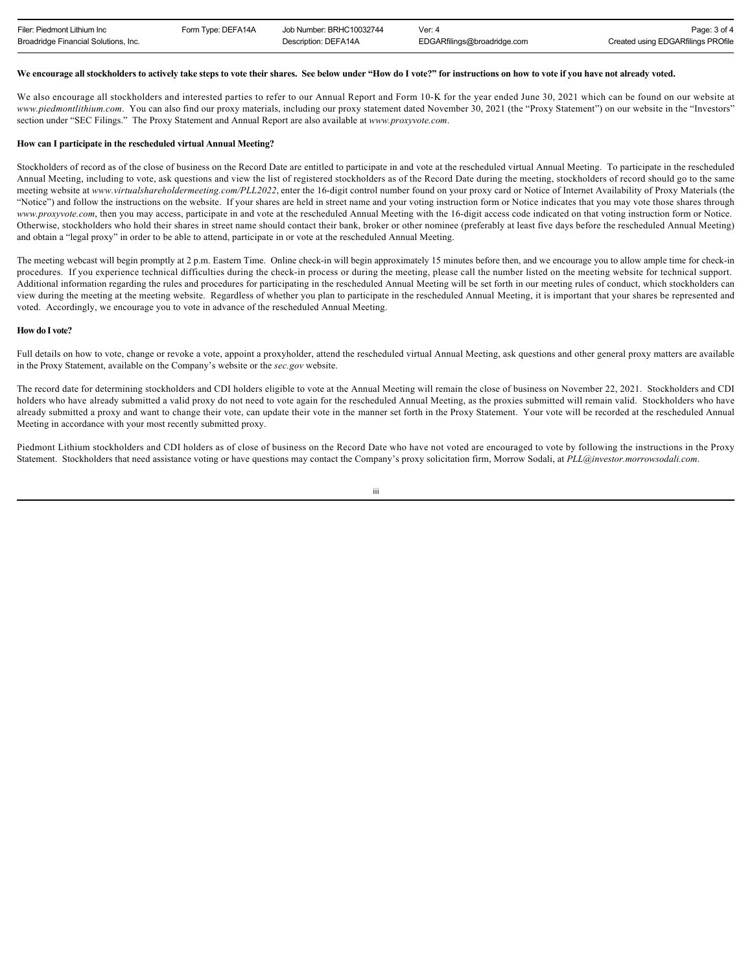| Filer: Piedmont Lithium Inc          | Form Type: DEFA14A | Job Number: BRHC10032744 | Ver: $4$                    | Page: 3 of 4                       |
|--------------------------------------|--------------------|--------------------------|-----------------------------|------------------------------------|
| Broadridge Financial Solutions, Inc. |                    | Description: DEFA14A     | EDGARfilings@broadridge.com | Created using EDGARfilings PROfile |

#### **We encourage all stockholders to actively take steps to vote their shares. See below under "How do I vote?" for instructions on how to vote if you have not already voted.**

We also encourage all stockholders and interested parties to refer to our Annual Report and Form 10-K for the year ended June 30, 2021 which can be found on our website at *www.piedmontlithium.com*. You can also find our proxy materials, including our proxy statement dated November 30, 2021 (the "Proxy Statement") on our website in the "Investors" section under "SEC Filings." The Proxy Statement and Annual Report are also available at *www.proxyvote.com*.

#### **How can I participate in the rescheduled virtual Annual Meeting?**

Stockholders of record as of the close of business on the Record Date are entitled to participate in and vote at the rescheduled virtual Annual Meeting. To participate in the rescheduled Annual Meeting, including to vote, ask questions and view the list of registered stockholders as of the Record Date during the meeting, stockholders of record should go to the same meeting website at *www.virtualshareholdermeeting.com/PLL2022*, enter the 16-digit control number found on your proxy card or Notice of Internet Availability of Proxy Materials (the "Notice") and follow the instructions on the website. If your shares are held in street name and your voting instruction form or Notice indicates that you may vote those shares through *www.proxyvote.com*, then you may access, participate in and vote at the rescheduled Annual Meeting with the 16-digit access code indicated on that voting instruction form or Notice. Otherwise, stockholders who hold their shares in street name should contact their bank, broker or other nominee (preferably at least five days before the rescheduled Annual Meeting) and obtain a "legal proxy" in order to be able to attend, participate in or vote at the rescheduled Annual Meeting.

The meeting webcast will begin promptly at 2 p.m. Eastern Time. Online check-in will begin approximately 15 minutes before then, and we encourage you to allow ample time for check-in procedures. If you experience technical difficulties during the check-in process or during the meeting, please call the number listed on the meeting website for technical support. Additional information regarding the rules and procedures for participating in the rescheduled Annual Meeting will be set forth in our meeting rules of conduct, which stockholders can view during the meeting at the meeting website. Regardless of whether you plan to participate in the rescheduled Annual Meeting, it is important that your shares be represented and voted. Accordingly, we encourage you to vote in advance of the rescheduled Annual Meeting.

#### **How do I vote?**

Full details on how to vote, change or revoke a vote, appoint a proxyholder, attend the rescheduled virtual Annual Meeting, ask questions and other general proxy matters are available in the Proxy Statement, available on the Company's website or the *sec.gov* website.

The record date for determining stockholders and CDI holders eligible to vote at the Annual Meeting will remain the close of business on November 22, 2021. Stockholders and CDI holders who have already submitted a valid proxy do not need to vote again for the rescheduled Annual Meeting, as the proxies submitted will remain valid. Stockholders who have already submitted a proxy and want to change their vote, can update their vote in the manner set forth in the Proxy Statement. Your vote will be recorded at the rescheduled Annual Meeting in accordance with your most recently submitted proxy.

Piedmont Lithium stockholders and CDI holders as of close of business on the Record Date who have not voted are encouraged to vote by following the instructions in the Proxy Statement. Stockholders that need assistance voting or have questions may contact the Company's proxy solicitation firm, Morrow Sodali, at *PLL@investor.morrowsodali.com*.

iii